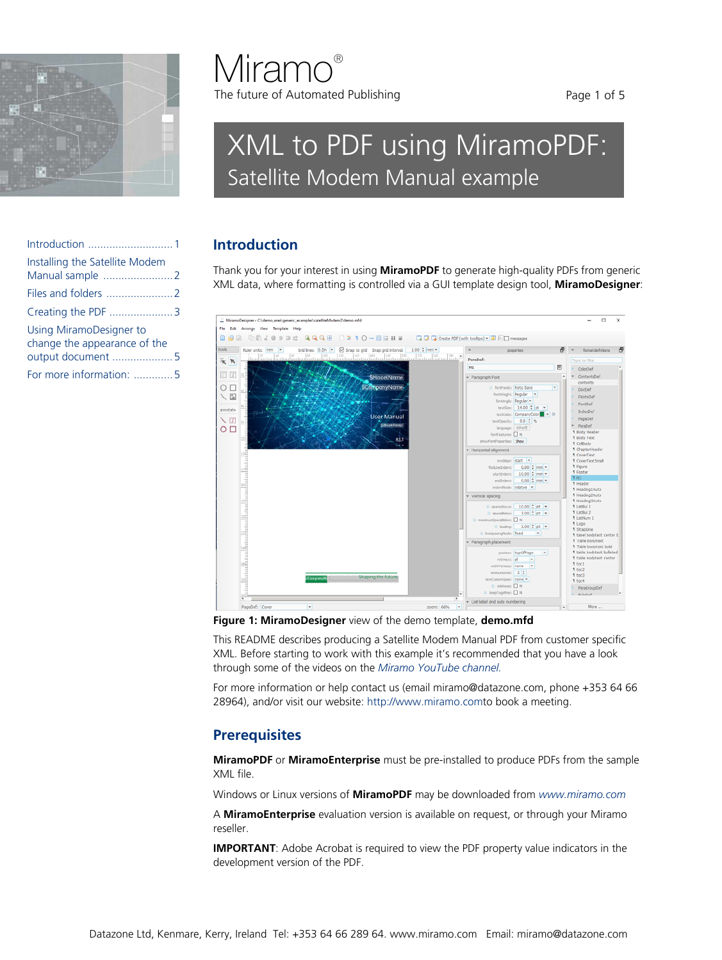

[output document ....................5](#page-4-0) [For more information: .............5](#page-4-1)

# **Miramo®** The future of Automated Publishing

# XML to PDF using MiramoPDF: Satellite Modem Manual example

# <span id="page-0-0"></span>**Introduction**

Thank you for your interest in using **MiramoPDF** to generate high-quality PDFs from generic XML data, where formatting is controlled via a GUI template design tool, **MiramoDesigner**:



**Figure 1: MiramoDesigner** view of the demo template, **demo.mfd**

This README describes producing a Satellite Modem Manual PDF from customer specific XML. Before starting to work with this example it's recommended that you have a look through some of the videos on the *[Miramo YouTube channel.](https://www.youtube.com/channel/UCp-_zSBd1oJUKVx7jeAd10g)*

For more information or help contact us (email miramo@datazone.com, phone +353 64 66 28964), and/or visit our website: [http://www.miramo.comt](http://www.miramo.com)o book a meeting.

# **Prerequisites**

**MiramoPDF** or **MiramoEnterprise** must be pre-installed to produce PDFs from the sample XML file.

Windows or Linux versions of **MiramoPDF** may be downloaded from *[www.miramo.com](https://www.miramo.com/english/overview/dp_download.html)*

A **MiramoEnterprise** evaluation version is available on request, or through your Miramo reseller.

**IMPORTANT**: Adobe Acrobat is required to view the PDF property value indicators in the development version of the PDF.

[Introduction ............................1](#page-0-0) [Installing the Satellite Modem](#page-1-0)  [Manual sample .......................2](#page-1-0) [Files and folders ......................2](#page-1-1) [Creating the PDF .....................3](#page-2-0) Using MiramoDesigner to [change the appearance of the](#page-4-0)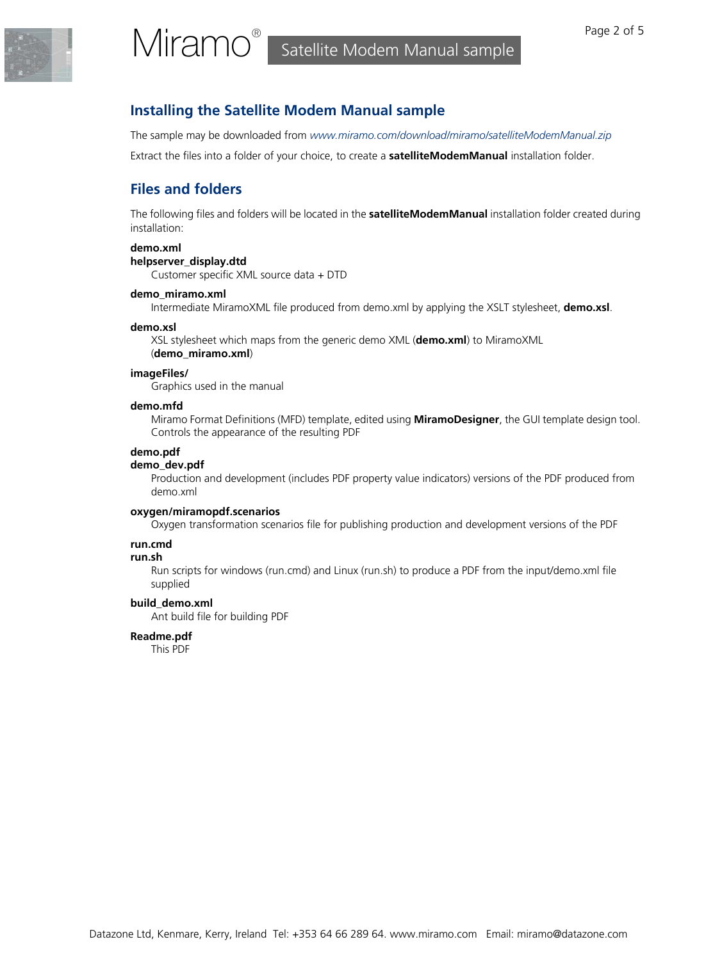## <span id="page-1-0"></span>**Installing the Satellite Modem Manual sample**

The sample may be downloaded from *[www.miramo.com/download/miramo/satelliteModemManual.zip](https://www.miramo.com/download/miramo/satelliteModemManual160setup.zip)*

Extract the files into a folder of your choice, to create a **satelliteModemManual** installation folder.

# <span id="page-1-1"></span>**Files and folders**

The following files and folders will be located in the **satelliteModemManual** installation folder created during installation:

#### **demo.xml**

#### **helpserver\_display.dtd**

Customer specific XML source data + DTD

#### **demo\_miramo.xml**

Intermediate MiramoXML file produced from demo.xml by applying the XSLT stylesheet, **demo.xsl**.

#### **demo.xsl**

XSL stylesheet which maps from the generic demo XML (**demo.xml**) to MiramoXML (**demo\_miramo.xml**)

#### **imageFiles/**

Graphics used in the manual

#### **demo.mfd**

Miramo Format Definitions (MFD) template, edited using **MiramoDesigner**, the GUI template design tool. Controls the appearance of the resulting PDF

#### **demo.pdf**

#### **demo\_dev.pdf**

Production and development (includes PDF property value indicators) versions of the PDF produced from demo.xml

#### **oxygen/miramopdf.scenarios**

Oxygen transformation scenarios file for publishing production and development versions of the PDF

#### **run.cmd**

#### **run.sh**

Run scripts for windows (run.cmd) and Linux (run.sh) to produce a PDF from the input/demo.xml file supplied

#### **build\_demo.xml**

Ant build file for building PDF

#### **Readme.pdf**

This PDF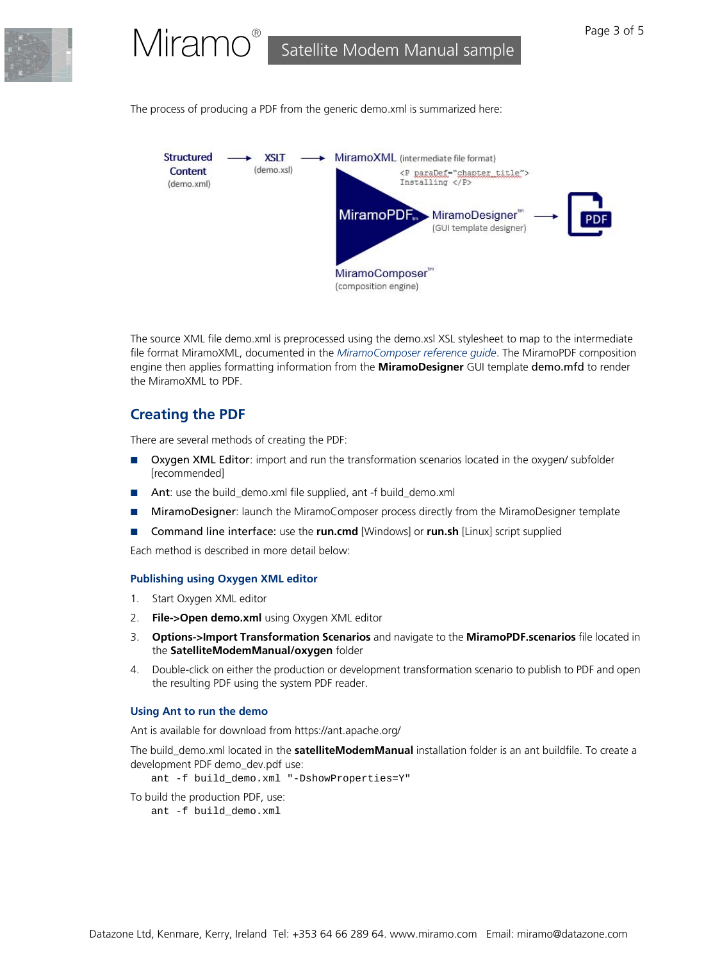

The process of producing a PDF from the generic demo.xml is summarized here:



The source XML file demo.xml is preprocessed using the demo.xsl XSL stylesheet to map to the intermediate file format MiramoXML, documented in the *[MiramoComposer reference guide](https://www.miramo.com/download/documentation/mmComposerReferenceGuide.pdf)*. The MiramoPDF composition engine then applies formatting information from the **MiramoDesigner** GUI template demo.mfd to render the MiramoXML to PDF.

# <span id="page-2-0"></span>**Creating the PDF**

There are several methods of creating the PDF:

- Oxygen XML Editor: import and run the transformation scenarios located in the oxygen/ subfolder [recommended]
- Ant: use the build\_demo.xml file supplied, ant -f build\_demo.xml
- MiramoDesigner: launch the MiramoComposer process directly from the MiramoDesigner template
- Command line interface: use the **run.cmd** [Windows] or **run.sh** [Linux] script supplied

Each method is described in more detail below:

#### **Publishing using Oxygen XML editor**

- 1. Start Oxygen XML editor
- 2. **File->Open demo.xml** using Oxygen XML editor
- 3. **Options->Import Transformation Scenarios** and navigate to the **MiramoPDF.scenarios** file located in the **SatelliteModemManual/oxygen** folder
- 4. Double-click on either the production or development transformation scenario to publish to PDF and open the resulting PDF using the system PDF reader.

#### **Using Ant to run the demo**

Ant is available for download from https://ant.apache.org/

The build\_demo.xml located in the **satelliteModemManual** installation folder is an ant buildfile. To create a development PDF demo\_dev.pdf use:

ant -f build\_demo.xml "-DshowProperties=Y"

To build the production PDF, use: ant -f build\_demo.xml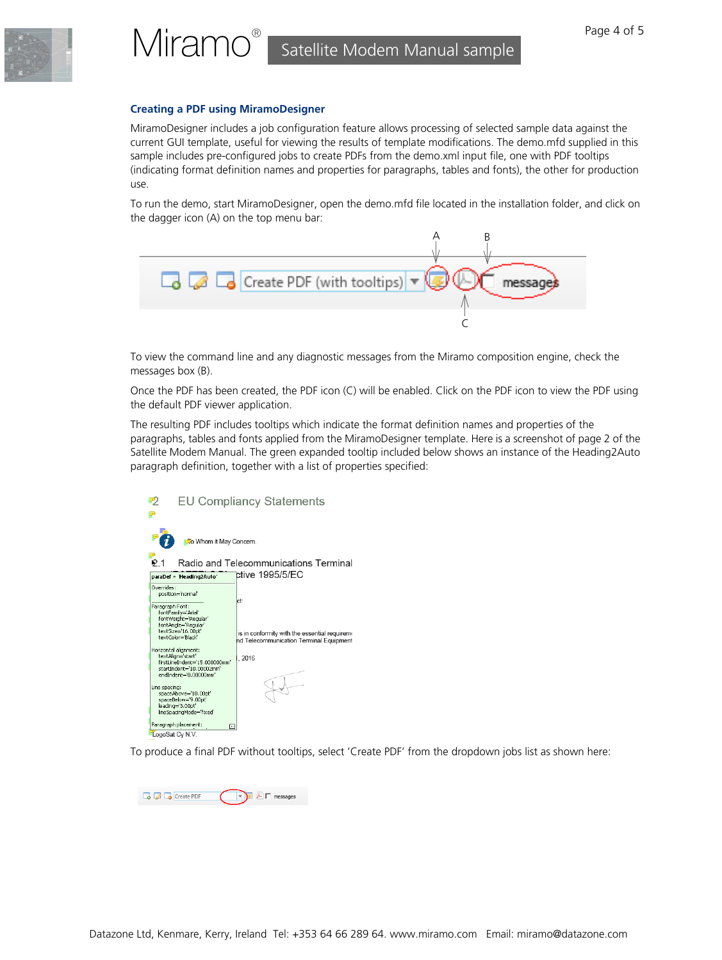

#### **Creating a PDF using MiramoDesigner**

MiramoDesigner includes a job configuration feature allows processing of selected sample data against the current GUI template, useful for viewing the results of template modifications. The demo.mfd supplied in this sample includes pre-configured jobs to create PDFs from the demo.xml input file, one with PDF tooltips (indicating format definition names and properties for paragraphs, tables and fonts), the other for production use.

To run the demo, start MiramoDesigner, open the demo.mfd file located in the installation folder, and click on the dagger icon (A) on the top menu bar:



To view the command line and any diagnostic messages from the Miramo composition engine, check the messages box (B).

Once the PDF has been created, the PDF icon (C) will be enabled. Click on the PDF icon to view the PDF using the default PDF viewer application.

The resulting PDF includes tooltips which indicate the format definition names and properties of the paragraphs, tables and fonts applied from the MiramoDesigner template. Here is a screenshot of page 2 of the Satellite Modem Manual. The green expanded tooltip included below shows an instance of the Heading2Auto paragraph definition, together with a list of properties specified:

| <b>EU Compliancy Statements</b><br>ワ                                                                                                                                                                             |                                                                                                          |
|------------------------------------------------------------------------------------------------------------------------------------------------------------------------------------------------------------------|----------------------------------------------------------------------------------------------------------|
|                                                                                                                                                                                                                  |                                                                                                          |
| To Whom it May Concern.                                                                                                                                                                                          |                                                                                                          |
| P.1<br>Radio and Telecommunications Terminal                                                                                                                                                                     |                                                                                                          |
| paraDef = 'Heading2Auto'                                                                                                                                                                                         | ctive 1995/5/EC                                                                                          |
| Overrides:<br>position='normal'<br>Paragraph Font:<br>fontFamily='Arial'<br>fontWeight='Regular'<br>fontAngle='Regular'<br>textSize='16.00pt'<br>hextColor='Black'<br>Horizontal alignment:<br>textAlion='start' | ct:<br>is in conformity with the essential requireme<br>nd Telecommunication Terminal Equipment<br>.2016 |
| firstLineIndent='15.000000mm'<br>startIndent='10.00002mm'<br>endIndent='0.00000mm'<br>Line spacing:<br>spaceAbove=10.00pt'<br>spaceBelow='9.00pt'<br>leading='3.00pt'<br>lineSpacingMode='fixed'                 |                                                                                                          |
| Paragraph placement:<br>г                                                                                                                                                                                        |                                                                                                          |
| LogoSat Cy N.V.                                                                                                                                                                                                  |                                                                                                          |

To produce a final PDF without tooltips, select 'Create PDF' from the dropdown jobs list as shown here: